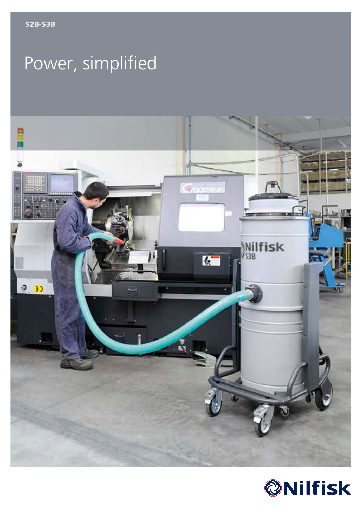# Power, simplified